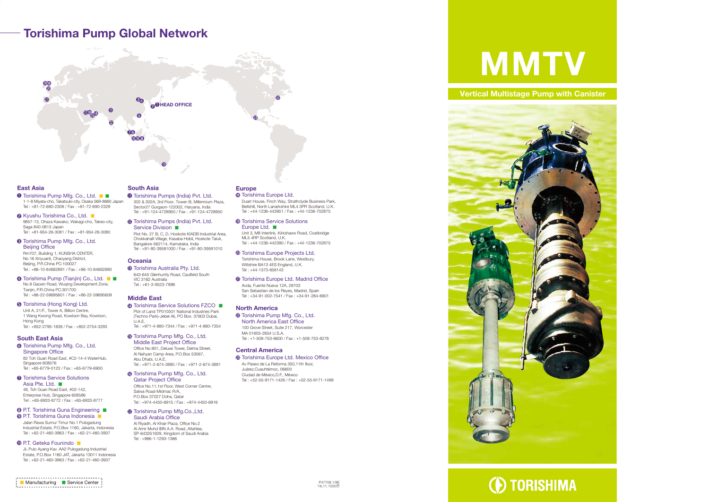# Torishima Pump Global Network



#### East Asia

- **<sup>6</sup>** Torishima Australia Pty. Ltd. 643-645 Glenhuntly Road, Caulfield South VIC 3162 Australia
- Middle East

**<sup>6</sup>** Torishima Pump Mfg. Co., Ltd. Middle East Project Office

JL Pulo Ayang Kav. AA2 Pulogadung Industrial Estate, P.O.Box 1160 JAT, Jakarta 13011 Indonesia Tel : +62-21-460-3963 / Fax : +62-21-460-3937

### South Asia

#### Oceania

Tel : +61-3-9523-7998

Torishima Service Solutions FZCO ■ Plot of Land TP010501 National Industries Park (Techno Park)-Jebel Ali, PO Box. 37603 Dubai, U.A.E. Tel : +971-4-880-7344 / Fax : +971-4-880-7354

- Torishima Pumps (India) Pvt. Ltd. 302 & 302A, 3rd Floor, Tower-B, Millennium Plaza, Sector27 Gurgaon-122002, Haryana, India Tel : +91-124-4728950 / Fax : +91-124-4728950
- Torishima Pumps (India) Pvt. Ltd. Service Division ■

**<sup>6</sup>** Torishima Europe Ltd. Duart House, Finch Way, Strathclyde Business Park, Bellshill, North Lanarkshire ML4 3PR Scotland, U.K. Tel : +44-1236-443951 / Fax : +44-1236-702875

**<sup>®</sup>** Torishima Service Solutions Europe Ltd. ■ Unit 3, M8 Interlink, Kirkshaws Road, Coatbridge

**<sup>4</sup>** Torishima Europe Projects Ltd. Torishima House, Brook Lane, Westbury, Wiltshire BA13 4ES England, U.K. Tel : +44-1373-858143

- Office No.901, Deluxe Tower, Delma Street, Al Nahyan Camp Area, P.O.Box 53567, Abu Dhabi, U.A.E. Tel : +971-2-674-3880 / Fax : +971-2-674-3881
- **<sup>6</sup>** Torishima Pump Mfg. Co., Ltd. Qatar Project Office Office No.11,1st Floor, West Corner Centre, Salwa Road-Midmac R/A, P.O.Box 37027 Doha, Qatar

**<sup>4</sup>** Torishima Europe Ltd. Madrid Office Avda, Fuente Nueva 12A, 28703 San Sebastian de los Reyes, Madrid, Spain Tel : +34-91-002-7541 / Fax : +34-91-284-6901

<sup>2</sup> Torishima Pump Mfg. Co., Ltd. North America East Office 100 Grove Street, Suite 217, Worcester MA 01605-2654 U.S.A. Tel : +1-508-753-6600 / Fax : +1-508-753-8276

Tel : +974-4450-6915 / Fax : +974-4450-6916

**<sup>3</sup>** Torishima Europe Ltd. Mexico Office Av Paseo de La Reforma 350,11th floor, Juárez,Cuauhtémoc, 06600 Ciudad de México,D.F., México Tel : +52-55-9171-1426 / Fax : +52-55-9171-1499

#### **Torishima Pump Mfg.Co.,Ltd.** Saudi Arabia Office

Al Riyadh, Al Khair Plaza, Office No.2 Al Amir Muhd IBN A.A. Road, Altahlea, SP-643351929, Kingdom of Saudi Arabia Tel : +966-1-1293-1366

Plot No. 27 B, C, D, Hoskote KIADB Industrial Area, Chokkahalli Village, Kasaba Hobli, Hoskote Taluk, Bangalore-562114, Karnataka, India Tel : +91-80-39581000 / Fax : +91-80-39581010

- Torishima Pump Mfg. Co., Ltd. 1-1-8 Miyata-cho, Takatsuki-city, Osaka 569-8660 Japan Tel : +81-72-690-2308 / Fax : +81-72-690-2329
- **<sup>■</sup>** Kyushu Torishima Co., Ltd. 9857-13, Ohaza Kawako, Wakagi-cho, Takeo-city, Saga 840-0813 Japan Tel : +81-954-26-3081 / Fax : +81-954-26-3080
- Torishima Pump Mfg. Co., Ltd. Beijing Office Rm707, Building 1, KUNSHA CENTER, No.16 Xinyuanli, Chaoyang District, Beijing, P.R.China PC:100027 Tel : +86-10-84682891 / Fax : +86-10-84682890
- Torishima Pump (Tianjin) Co., Ltd. No.9 Gaoxin Road, Wuqing Development Zone, Tianjin, P.R.China PC:301700 Tel : +86-22-59695601 / Fax : +86-22-59695609
- **Torishima (Hong Kong) Ltd.** Unit A, 21/F., Tower A, Billion Centre, 1 Wang Kwong Road, Kowloon Bay, Kowloon, Hong Kong Tel : +852-2795-1838 / Fax : +852-2754-3293

## Europe

**Torishima Pump Mfg. Co., Ltd.** Singapore Office 82 Toh Guan Road East, #C2-14-4 WaterHub,

**Torishima Service Solutions** Asia Pte. Ltd. ■ 48, Toh Guan Road East, #02-142, Enterprise Hub, Singapore 608586 Tel : +65-6933-8772 / Fax : +65-6933-8777

**<sup>●</sup>** P.T. Torishima Guna Engineering ■  P.T. Torishima Guna Indonesia ■

ML5 4RP Scotland, U.K. Tel : +44-1236-442390 / Fax : +44-1236-702875

#### North America

#### Central America

#### South East Asia

Singapore 608576 Tel : +65-6779-0123 / Fax : +65-6779-6900

Jalan Rawa Sumur Timur No.1 Pulogadung Industrial Estate, P.O.Box 1160, Jakarta, Indonesia Tel : +62-21-460-3963 / Fax : +62-21-460-3937

#### **<sup>■</sup>** P.T. Geteka Founindo

### **Vertical Multistage Pump with Canister**







**D** TORISHIMA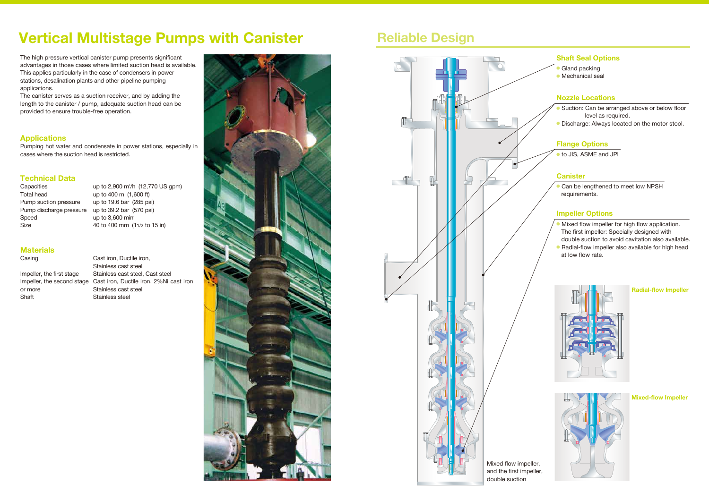# **Vertical Multistage Pumps with Canister Fig. 3 Reliable Design**

The high pressure vertical canister pump presents significant advantages in those cases where limited suction head is available. This applies particularly in the case of condensers in power stations, desalination plants and other pipeline pumping applications.

**Capacities** Total head Pump suction pressure Pump discharge pressure Speed Size

The canister serves as a suction receiver, and by adding the length to the canister / pump, adequate suction head can be provided to ensure trouble-free operation.

# **Applications**

Pumping hot water and condensate in power stations, especially in cases where the suction head is restricted.

# **Technical Data**

- Gland packing
- Mechanical seal

Can be lengthened to meet low NPSH requirements.

- Suction: Can be arranged above or below floor level as required.
- Discharge: Always located on the motor stool.

up to 2,900 m3 /h (12,770 US gpm) up to 400 m (1,600 ft) up to 19.6 bar (285 psi) up to 39.2 bar (570 psi) up to  $3,600$  min<sup>-1</sup> 40 to 400 mm (11/2 to 15 in)

- **Mixed flow impeller for high flow application.**  The first impeller: Specially designed with double suction to avoid cavitation also available.
- Radial-flow impeller also available for high head at low flow rate.



# **Materials**

Casing

| Impeller, the first stage  |
|----------------------------|
| Impeller, the second stage |
| or more                    |
| Shaft                      |

Cast iron, Ductile iron, Stainless cast steel Stainless cast steel, Cast steel Cast iron, Ductile iron, 2%Ni cast iron Stainless cast steel Stainless steel



# **Shaft Seal Options**

● to JIS, ASME and JPI

# **Flange Options**

## **Canister**

## **Nozzle Locations**

## **Impeller Options**

**Mixed-flow Impeller**

**Radial-flow Impeller**